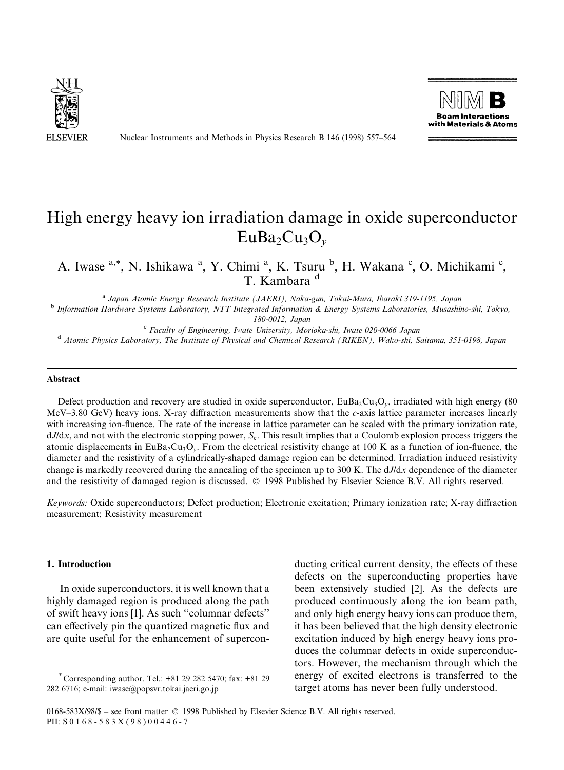

Nuclear Instruments and Methods in Physics Research B 146 (1998) 557-564



# High energy heavy ion irradiation damage in oxide superconductor  $EuBa<sub>2</sub>Cu<sub>3</sub>O<sub>v</sub>$

A. Iwase <sup>a,\*</sup>, N. Ishikawa <sup>a</sup>, Y. Chimi <sup>a</sup>, K. Tsuru <sup>b</sup>, H. Wakana <sup>c</sup>, O. Michikami <sup>c</sup>, T. Kambara<sup>d</sup>

<sup>a</sup> Japan Atomic Energy Research Institute (JAERI), Naka-gun, Tokai-Mura, Ibaraki 319-1195, Japan b Information Hardware Systems Laboratory, NTT Integrated Information & Energy Systems Laboratories, Musashino-shi, Tokyo,

180-0012, Japan<br><sup>c</sup> Faculty of Engineering, Iwate University, Morioka-shi, Iwate 020-0066 Japan<br>Atomic Physics Laboratory, The Institute of Physical and Chemical Research (RIKEN), Wako-shi, Saitama, 351-0198, Japan

#### Abstract

Defect production and recovery are studied in oxide superconductor,  $EuBa<sub>2</sub>Cu<sub>3</sub>O<sub>v</sub>$ , irradiated with high energy (80)  $MeV-3.80$  GeV) heavy ions. X-ray diffraction measurements show that the c-axis lattice parameter increases linearly with increasing ion-fluence. The rate of the increase in lattice parameter can be scaled with the primary ionization rate,  $dJ/dx$ , and not with the electronic stopping power,  $S<sub>e</sub>$ . This result implies that a Coulomb explosion process triggers the atomic displacements in EuBa<sub>2</sub>Cu<sub>3</sub>O<sub>y</sub>. From the electrical resistivity change at 100 K as a function of ion-fluence, the diameter and the resistivity of a cylindrically-shaped damage region can be determined. Irradiation induced resistivity change is markedly recovered during the annealing of the specimen up to  $300$  K. The  $dJ/dx$  dependence of the diameter and the resistivity of damaged region is discussed.  $© 1998$  Published by Elsevier Science B.V. All rights reserved.

Keywords: Oxide superconductors; Defect production; Electronic excitation; Primary ionization rate; X-ray diffraction measurement; Resistivity measurement

## 1. Introduction

In oxide superconductors, it is well known that a highly damaged region is produced along the path of swift heavy ions [1]. As such "columnar defects" can effectively pin the quantized magnetic flux and are quite useful for the enhancement of supercon-

ducting critical current density, the effects of these defects on the superconducting properties have been extensively studied [2]. As the defects are produced continuously along the ion beam path, and only high energy heavy ions can produce them, it has been believed that the high density electronic excitation induced by high energy heavy ions produces the columnar defects in oxide superconductors. However, the mechanism through which the energy of excited electrons is transferred to the target atoms has never been fully understood.

<sup>\*</sup> Corresponding author. Tel.: +81 29 282 5470; fax: +81 29 282 6716; e-mail: iwase@popsvr.tokai.jaeri.go.jp

<sup>0168-583</sup>X/98/\$ - see front matter © 1998 Published by Elsevier Science B.V. All rights reserved. PII: S 0 1 6 8 - 5 8 3 X ( 9 8 ) 0 0 4 4 6 - 7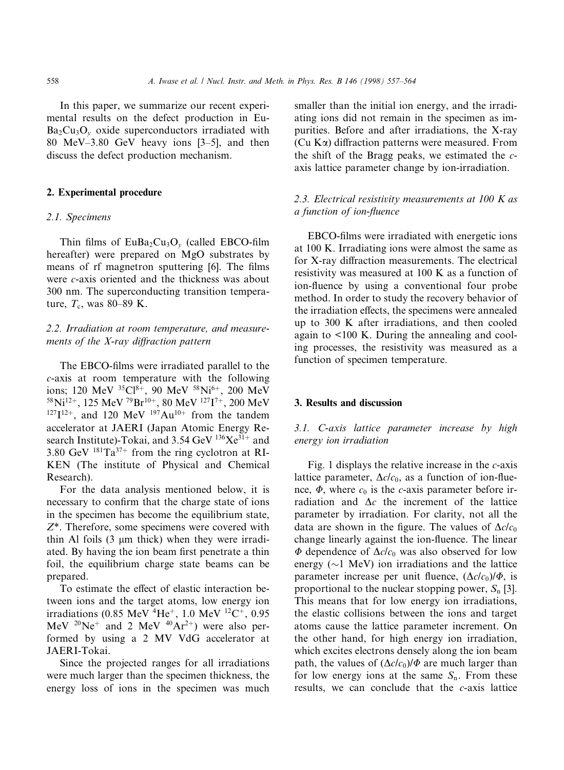In this paper, we summarize our recent experimental results on the defect production in Eu- $Ba<sub>2</sub>Cu<sub>3</sub>O<sub>y</sub>$  oxide superconductors irradiated with 80 MeV $-3.80$  GeV heavy ions [3 $-5$ ], and then discuss the defect production mechanism.

## 2. Experimental procedure

#### 2.1. Specimens

Thin films of  $EuBa<sub>2</sub>Cu<sub>3</sub>O<sub>v</sub>$  (called EBCO-film hereafter) were prepared on MgO substrates by means of rf magnetron sputtering [6]. The films were *c*-axis oriented and the thickness was about 300 nm. The superconducting transition temperature,  $T_c$ , was 80–89 K.

# 2.2. Irradiation at room temperature, and measurements of the  $X$ -ray diffraction pattern

The EBCO-films were irradiated parallel to the c-axis at room temperature with the following ions; 120 MeV  ${}^{35}Cl^{8+}$ , 90 MeV  ${}^{58}Ni^{6+}$ , 200 MeV  $^{58}$ Ni<sup>12+</sup>, 125 MeV <sup>79</sup>Br<sup>10+</sup>, 80 MeV <sup>127</sup>I<sup>7+</sup>, 200 MeV  $127I^{12+}$ , and 120 MeV  $197Au^{10+}$  from the tandem accelerator at JAERI (Japan Atomic Energy Research Institute)-Tokai, and 3.54 GeV  $^{136}Xe^{31+}$  and 3.80 GeV  $^{181}Ta^{37+}$  from the ring cyclotron at RI-KEN (The institute of Physical and Chemical Research).

For the data analysis mentioned below, it is necessary to confirm that the charge state of ions in the specimen has become the equilibrium state, Z\*. Therefore, some specimens were covered with thin Al foils  $(3 \mu m)$  thick) when they were irradiated. By having the ion beam first penetrate a thin foil, the equilibrium charge state beams can be prepared.

To estimate the effect of elastic interaction between ions and the target atoms, low energy ion irradiations (0.85 MeV  $^{4}$ He<sup>+</sup>, 1.0 MeV  $^{12}$ C<sup>+</sup>, 0.95 MeV  $^{20}Ne^+$  and 2 MeV  $^{40}Ar^{2+}$ ) were also performed by using a 2 MV VdG accelerator at JAERI-Tokai.

Since the projected ranges for all irradiations were much larger than the specimen thickness, the energy loss of ions in the specimen was much smaller than the initial ion energy, and the irradiating ions did not remain in the specimen as impurities. Before and after irradiations, the X-ray  $(Cu K\alpha)$  diffraction patterns were measured. From the shift of the Bragg peaks, we estimated the  $c$ axis lattice parameter change by ion-irradiation.

# 2.3. Electrical resistivity measurements at  $100$  K as a function of ion-fluence

EBCO-films were irradiated with energetic ions at 100 K. Irradiating ions were almost the same as for X-ray diffraction measurements. The electrical resistivity was measured at 100 K as a function of ion-fluence by using a conventional four probe method. In order to study the recovery behavior of the irradiation effects, the specimens were annealed up to 300 K after irradiations, and then cooled again to <100 K. During the annealing and cooling processes, the resistivity was measured as a function of specimen temperature.

### 3. Results and discussion

3.1. C-axis lattice parameter increase by high energy ion irradiation

Fig. 1 displays the relative increase in the  $c$ -axis lattice parameter,  $\Delta c/c_0$ , as a function of ion-fluence,  $\Phi$ , where  $c_0$  is the c-axis parameter before irradiation and  $\Delta c$  the increment of the lattice parameter by irradiation. For clarity, not all the data are shown in the figure. The values of  $\Delta c/c_0$ change linearly against the ion-fluence. The linear  $\Phi$  dependence of  $\Delta c/c_0$  was also observed for low energy  $(\sim 1 \text{ MeV})$  ion irradiations and the lattice parameter increase per unit fluence,  $(\Delta c/c_0)/\Phi$ , is proportional to the nuclear stopping power,  $S_n$  [3]. This means that for low energy ion irradiations, the elastic collisions between the ions and target atoms cause the lattice parameter increment. On the other hand, for high energy ion irradiation, which excites electrons densely along the ion beam path, the values of  $(\Delta c/c_0)/\Phi$  are much larger than for low energy ions at the same  $S_n$ . From these results, we can conclude that the c-axis lattice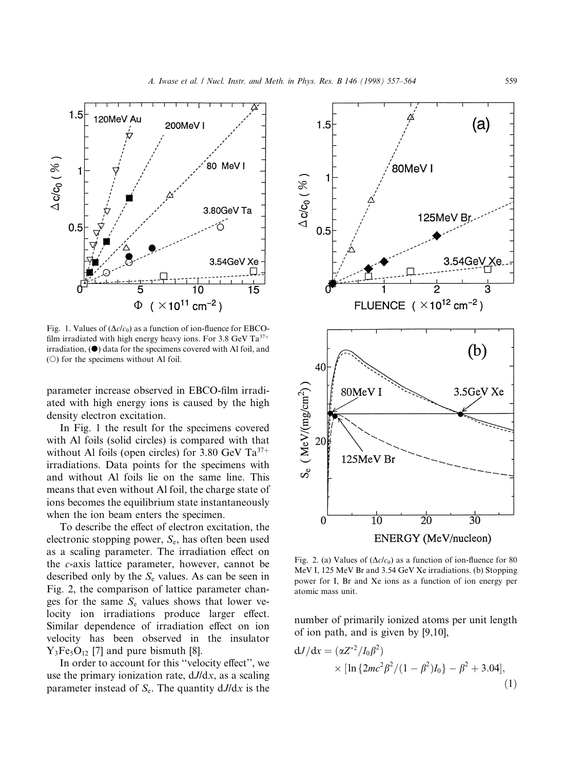

Fig. 1. Values of  $(\Delta c/c_0)$  as a function of ion-fluence for EBCOfilm irradiated with high energy heavy ions. For 3.8 GeV  $Ta^{37+}$  $irradiation$ ,  $\odot$  data for the specimens covered with Al foil, and ( $\circ$ ) for the specimens without Al foil.

parameter increase observed in EBCO-film irradiated with high energy ions is caused by the high density electron excitation.

In Fig. 1 the result for the specimens covered with Al foils (solid circles) is compared with that without Al foils (open circles) for 3.80 GeV  $Ta^{37+}$ irradiations. Data points for the specimens with and without Al foils lie on the same line. This means that even without Al foil, the charge state of ions becomes the equilibrium state instantaneously when the ion beam enters the specimen.

To describe the effect of electron excitation, the electronic stopping power,  $S_{e}$ , has often been used as a scaling parameter. The irradiation effect on the c-axis lattice parameter, however, cannot be described only by the  $S_e$  values. As can be seen in Fig. 2, the comparison of lattice parameter changes for the same  $S_e$  values shows that lower velocity ion irradiations produce larger effect. Similar dependence of irradiation effect on ion velocity has been observed in the insulator  $Y_3Fe<sub>5</sub>O<sub>12</sub>$  [7] and pure bismuth [8].

In order to account for this "velocity effect", we use the primary ionization rate,  $dJ/dx$ , as a scaling parameter instead of  $S_e$ . The quantity  $dJ/dx$  is the



Fig. 2. (a) Values of  $(\Delta c/c_0)$  as a function of ion-fluence for 80 MeV I, 125 MeV Br and 3.54 GeV Xe irradiations. (b) Stopping power for I, Br and Xe ions as a function of ion energy per atomic mass unit.

number of primarily ionized atoms per unit length of ion path, and is given by [9,10],

$$
dJ/dx = (\alpha Z^{*2}/I_0 \beta^2)
$$
  
× [ln {2mc<sup>2</sup>β<sup>2</sup>/(1 – β<sup>2</sup>)I<sub>0</sub>} – β<sup>2</sup> + 3.04], (1)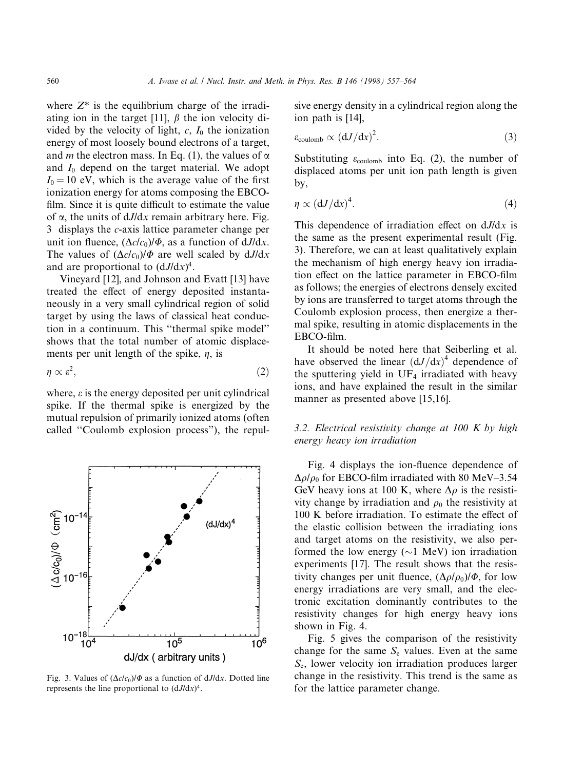where  $Z^*$  is the equilibrium charge of the irradiating ion in the target [11],  $\beta$  the ion velocity divided by the velocity of light,  $c$ ,  $I_0$  the ionization energy of most loosely bound electrons of a target, and *m* the electron mass. In Eq. (1), the values of  $\alpha$ and  $I_0$  depend on the target material. We adopt  $I_0 = 10$  eV, which is the average value of the first ionization energy for atoms composing the EBCO film. Since it is quite difficult to estimate the value of  $\alpha$ , the units of  $dJ/dx$  remain arbitrary here. Fig. 3 displays the c-axis lattice parameter change per unit ion fluence,  $(\Delta c/c_0)/\Phi$ , as a function of dJ/dx. The values of  $(\Delta c/c_0)/\Phi$  are well scaled by  $dJ/dx$ and are proportional to  $(dJ/dx)^4$ .

Vineyard [12], and Johnson and Evatt [13] have treated the effect of energy deposited instantaneously in a very small cylindrical region of solid target by using the laws of classical heat conduction in a continuum. This "thermal spike model" shows that the total number of atomic displacements per unit length of the spike,  $\eta$ , is

$$
\eta \propto \varepsilon^2,\tag{2}
$$

where,  $\varepsilon$  is the energy deposited per unit cylindrical spike. If the thermal spike is energized by the mutual repulsion of primarily ionized atoms (often called "Coulomb explosion process"), the repul-



Fig. 3. Values of  $(\Delta c/c_0)/\Phi$  as a function of dJ/dx. Dotted line represents the line proportional to  $(dJ/dx)^4$ .

sive energy density in a cylindrical region along the ion path is [14],

$$
\varepsilon_{\text{coulomb}} \propto \left(\frac{dJ}{dx}\right)^2. \tag{3}
$$

Substituting  $\varepsilon_{\text{coulomb}}$  into Eq. (2), the number of displaced atoms per unit ion path length is given by,

$$
\eta \propto \left(\mathrm{d}J/\mathrm{d}x\right)^4. \tag{4}
$$

This dependence of irradiation effect on  $dJ/dx$  is the same as the present experimental result (Fig. 3). Therefore, we can at least qualitatively explain the mechanism of high energy heavy ion irradiation effect on the lattice parameter in EBCO-film as follows; the energies of electrons densely excited by ions are transferred to target atoms through the Coulomb explosion process, then energize a thermal spike, resulting in atomic displacements in the EBCO-film.

It should be noted here that Seiberling et al. have observed the linear  $(dJ/dx)^4$  dependence of the sputtering yield in  $UF_4$  irradiated with heavy ions, and have explained the result in the similar manner as presented above [15,16].

# 3.2. Electrical resistivity change at  $100$  K by high energy heavy ion irradiation

Fig. 4 displays the ion-fluence dependence of  $\Delta \rho / \rho_0$  for EBCO-film irradiated with 80 MeV-3.54 GeV heavy ions at 100 K, where  $\Delta \rho$  is the resistivity change by irradiation and  $\rho_0$  the resistivity at 100 K before irradiation. To estimate the effect of the elastic collision between the irradiating ions and target atoms on the resistivity, we also performed the low energy  $(\sim 1 \text{ MeV})$  ion irradiation experiments [17]. The result shows that the resistivity changes per unit fluence,  $(\Delta \rho/\rho_0)/\Phi$ , for low energy irradiations are very small, and the electronic excitation dominantly contributes to the resistivity changes for high energy heavy ions shown in Fig. 4.

Fig. 5 gives the comparison of the resistivity change for the same  $S_e$  values. Even at the same  $S_{\rm e}$ , lower velocity ion irradiation produces larger change in the resistivity. This trend is the same as for the lattice parameter change.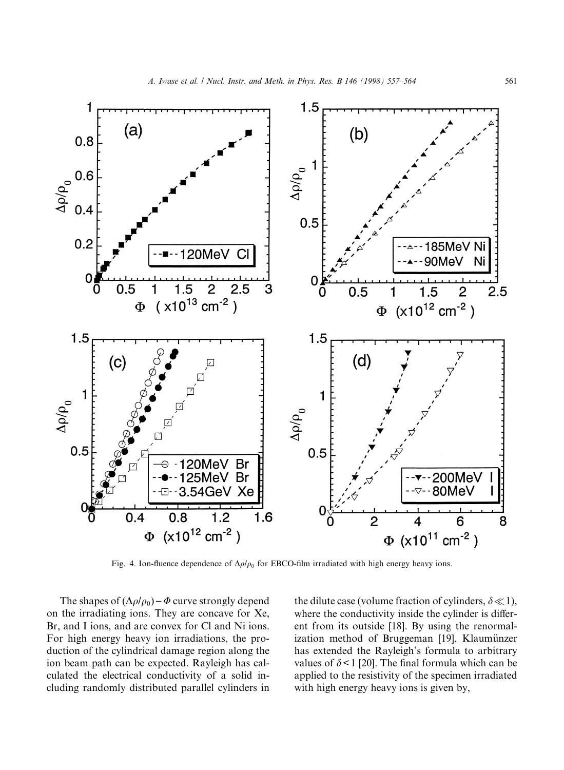

Fig. 4. Ion-fluence dependence of  $\Delta \rho / \rho_0$  for EBCO-film irradiated with high energy heavy ions.

The shapes of  $(\Delta \rho / \rho_0) - \Phi$  curve strongly depend on the irradiating ions. They are concave for Xe, Br, and I ions, and are convex for Cl and Ni ions. For high energy heavy ion irradiations, the production of the cylindrical damage region along the ion beam path can be expected. Rayleigh has calculated the electrical conductivity of a solid including randomly distributed parallel cylinders in

the dilute case (volume fraction of cylinders,  $\delta \ll 1$ ), where the conductivity inside the cylinder is different from its outside [18]. By using the renormalization method of Bruggeman [19], Klaumünzer has extended the Rayleigh's formula to arbitrary values of  $\delta$  < 1 [20]. The final formula which can be applied to the resistivity of the specimen irradiated with high energy heavy ions is given by,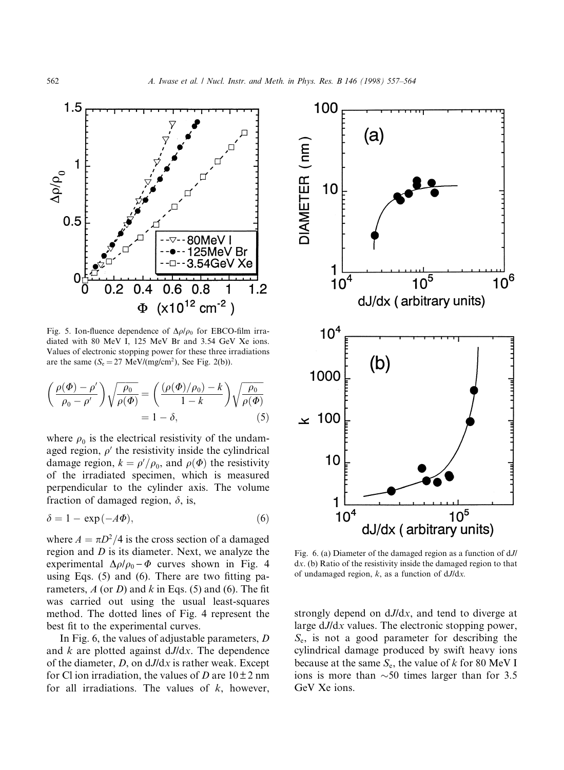

Fig. 5. Ion-fluence dependence of  $\Delta \rho / \rho_0$  for EBCO-film irradiated with 80 MeV I, 125 MeV Br and 3.54 GeV Xe ions. Values of electronic stopping power for these three irradiations are the same  $(S_e = 27 \text{ MeV}/(\text{mg}/\text{cm}^2))$ , See Fig. 2(b)).

$$
\left(\frac{\rho(\Phi) - \rho'}{\rho_0 - \rho'}\right) \sqrt{\frac{\rho_0}{\rho(\Phi)}} = \left(\frac{(\rho(\Phi)/\rho_0) - k}{1 - k}\right) \sqrt{\frac{\rho_0}{\rho(\Phi)}} = 1 - \delta, \tag{5}
$$

where  $\rho_0$  is the electrical resistivity of the undamaged region,  $\rho'$  the resistivity inside the cylindrical damage region,  $k = \rho'/\rho_0$ , and  $\rho(\Phi)$  the resistivity of the irradiated specimen, which is measured perpendicular to the cylinder axis. The volume fraction of damaged region,  $\delta$ , is,

$$
\delta = 1 - \exp(-A\Phi),\tag{6}
$$

where  $A = \pi D^2/4$  is the cross section of a damaged region and  $D$  is its diameter. Next, we analyze the experimental  $\Delta \rho / \rho_0 - \Phi$  curves shown in Fig. 4 using Eqs.  $(5)$  and  $(6)$ . There are two fitting parameters,  $A$  (or  $D$ ) and  $k$  in Eqs. (5) and (6). The fit was carried out using the usual least-squares method. The dotted lines of Fig. 4 represent the best fit to the experimental curves.

In Fig. 6, the values of adjustable parameters, D and  $k$  are plotted against  $dJ/dx$ . The dependence of the diameter,  $D$ , on  $dJ/dx$  is rather weak. Except for Cl ion irradiation, the values of D are  $10\pm 2$  nm for all irradiations. The values of  $k$ , however,



Fig. 6. (a) Diameter of the damaged region as a function of dJ/ dx. (b) Ratio of the resistivity inside the damaged region to that of undamaged region,  $k$ , as a function of  $dJ/dx$ .

strongly depend on dJ/dx, and tend to diverge at large  $dJ/dx$  values. The electronic stopping power,  $S_{\rm e}$ , is not a good parameter for describing the cylindrical damage produced by swift heavy ions because at the same  $S_e$ , the value of k for 80 MeV I ions is more than  $\sim$  50 times larger than for 3.5 GeV Xe ions.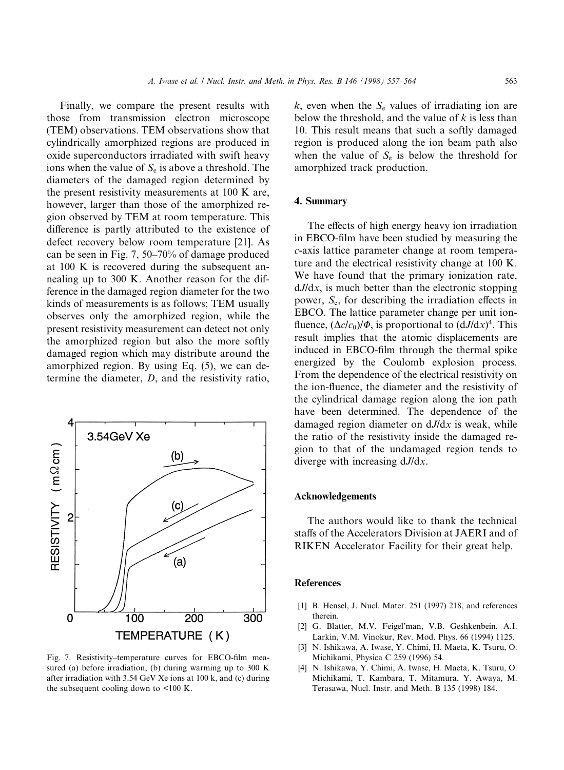Finally, we compare the present results with those from transmission electron microscope (TEM) observations. TEM observations show that cylindrically amorphized regions are produced in oxide superconductors irradiated with swift heavy ions when the value of  $S_e$  is above a threshold. The diameters of the damaged region determined by the present resistivity measurements at 100 K are, however, larger than those of the amorphized region observed by TEM at room temperature. This difference is partly attributed to the existence of defect recovery below room temperature [21]. As can be seen in Fig. 7,  $50-70%$  of damage produced at 100 K is recovered during the subsequent annealing up to 300 K. Another reason for the difference in the damaged region diameter for the two kinds of measurements is as follows; TEM usually observes only the amorphized region, while the present resistivity measurement can detect not only the amorphized region but also the more softly damaged region which may distribute around the amorphized region. By using Eq. (5), we can determine the diameter, D, and the resistivity ratio,



Fig. 7. Resistivity-temperature curves for EBCO-film measured (a) before irradiation, (b) during warming up to 300 K after irradiation with 3.54 GeV Xe ions at 100 k, and (c) during the subsequent cooling down to <100 K.

 $k$ , even when the  $S_e$  values of irradiating ion are below the threshold, and the value of  $k$  is less than 10. This result means that such a softly damaged region is produced along the ion beam path also when the value of  $S_e$  is below the threshold for amorphized track production.

## 4. Summary

The effects of high energy heavy ion irradiation in EBCO-film have been studied by measuring the c-axis lattice parameter change at room temperature and the electrical resistivity change at 100 K. We have found that the primary ionization rate,  $dJ/dx$ , is much better than the electronic stopping power,  $S_e$ , for describing the irradiation effects in EBCO. The lattice parameter change per unit ion fluence,  $(\Delta c/c_0)/\Phi$ , is proportional to  $(dJ/dx)^4$ . This result implies that the atomic displacements are induced in EBCO-film through the thermal spike energized by the Coulomb explosion process. From the dependence of the electrical resistivity on the ion-fluence, the diameter and the resistivity of the cylindrical damage region along the ion path have been determined. The dependence of the damaged region diameter on  $dJ/dx$  is weak, while the ratio of the resistivity inside the damaged region to that of the undamaged region tends to diverge with increasing dJ/dx.

## Acknowledgements

The authors would like to thank the technical staffs of the Accelerators Division at JAERI and of RIKEN Accelerator Facility for their great help.

#### References

- [1] B. Hensel, J. Nucl. Mater. 251 (1997) 218, and references therein.
- [2] G. Blatter, M.V. Feigel'man, V.B. Geshkenbein, A.I. Larkin, V.M. Vinokur, Rev. Mod. Phys. 66 (1994) 1125.
- [3] N. Ishikawa, A. Iwase, Y. Chimi, H. Maeta, K. Tsuru, O. Michikami, Physica C 259 (1996) 54.
- [4] N. Ishikawa, Y. Chimi, A. Iwase, H. Maeta, K. Tsuru, O. Michikami, T. Kambara, T. Mitamura, Y. Awaya, M. Terasawa, Nucl. Instr. and Meth. B 135 (1998) 184.